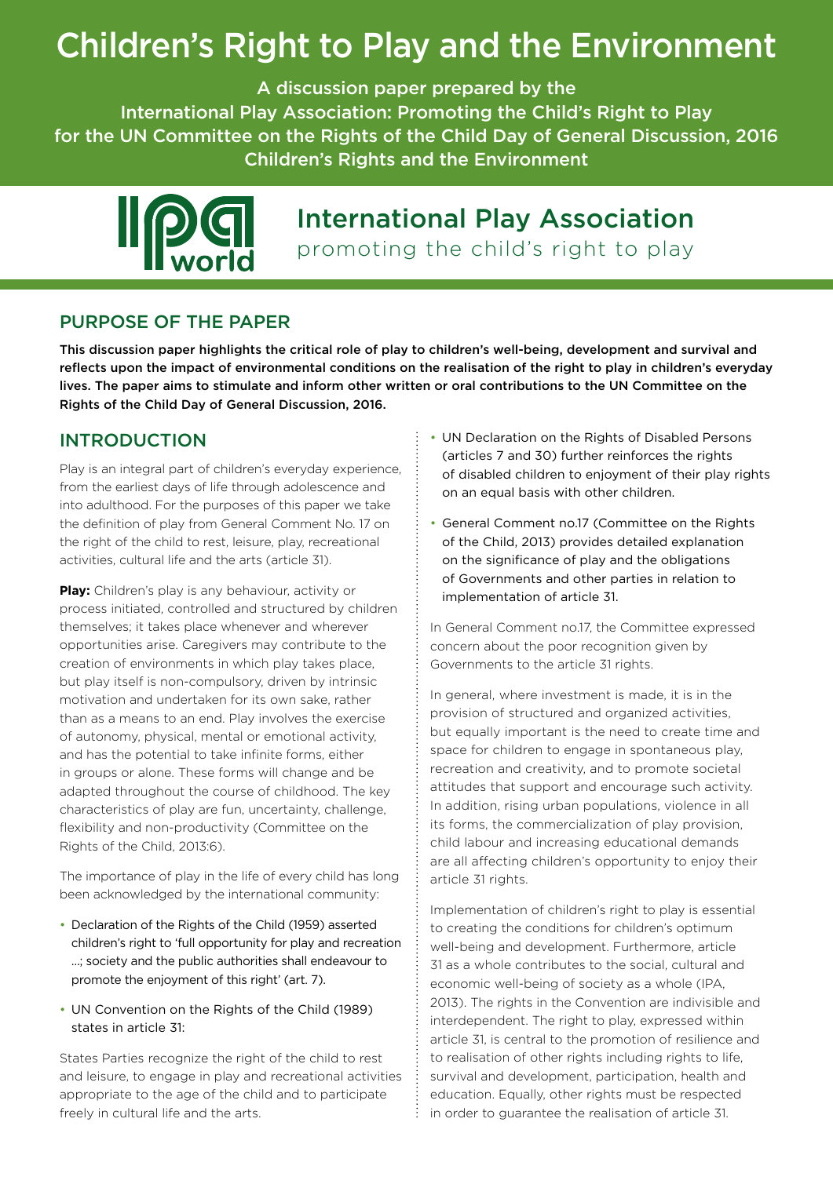# Children's Right to Play and the Environment

A discussion paper prepared by the

International Play Association: Promoting the Child's Right to Play for the UN Committee on the Rights of the Child Day of General Discussion, 2016 Children's Rights and the Environment



# International Play Association promoting the child's right to play

# PURPOSE OF THE PAPER

This discussion paper highlights the critical role of play to children's well-being, development and survival and reflects upon the impact of environmental conditions on the realisation of the right to play in children's everyday lives. The paper aims to stimulate and inform other written or oral contributions to the UN Committee on the Rights of the Child Day of General Discussion, 2016.

# INTRODUCTION

Play is an integral part of children's everyday experience, from the earliest days of life through adolescence and into adulthood. For the purposes of this paper we take the definition of play from General Comment No. 17 on the right of the child to rest, leisure, play, recreational activities, cultural life and the arts (article 31).

**Play:** Children's play is any behaviour, activity or process initiated, controlled and structured by children themselves; it takes place whenever and wherever opportunities arise. Caregivers may contribute to the creation of environments in which play takes place, but play itself is non-compulsory, driven by intrinsic motivation and undertaken for its own sake, rather than as a means to an end. Play involves the exercise of autonomy, physical, mental or emotional activity, and has the potential to take infinite forms, either in groups or alone. These forms will change and be adapted throughout the course of childhood. The key characteristics of play are fun, uncertainty, challenge, flexibility and non-productivity (Committee on the Rights of the Child, 2013:6).

The importance of play in the life of every child has long been acknowledged by the international community:

- Declaration of the Rights of the Child (1959) asserted children's right to 'full opportunity for play and recreation …; society and the public authorities shall endeavour to promote the enjoyment of this right' (art. 7).
- UN Convention on the Rights of the Child (1989) states in article 31:

States Parties recognize the right of the child to rest and leisure, to engage in play and recreational activities appropriate to the age of the child and to participate freely in cultural life and the arts.

- UN Declaration on the Rights of Disabled Persons (articles 7 and 30) further reinforces the rights of disabled children to enjoyment of their play rights on an equal basis with other children.
- General Comment no.17 (Committee on the Rights of the Child, 2013) provides detailed explanation on the significance of play and the obligations of Governments and other parties in relation to implementation of article 31.

In General Comment no.17, the Committee expressed concern about the poor recognition given by Governments to the article 31 rights.

In general, where investment is made, it is in the provision of structured and organized activities, but equally important is the need to create time and space for children to engage in spontaneous play, recreation and creativity, and to promote societal attitudes that support and encourage such activity. In addition, rising urban populations, violence in all its forms, the commercialization of play provision, child labour and increasing educational demands are all affecting children's opportunity to enjoy their article 31 rights.

Implementation of children's right to play is essential to creating the conditions for children's optimum well-being and development. Furthermore, article 31 as a whole contributes to the social, cultural and economic well-being of society as a whole (IPA, 2013). The rights in the Convention are indivisible and interdependent. The right to play, expressed within article 31, is central to the promotion of resilience and to realisation of other rights including rights to life, survival and development, participation, health and education. Equally, other rights must be respected in order to guarantee the realisation of article 31.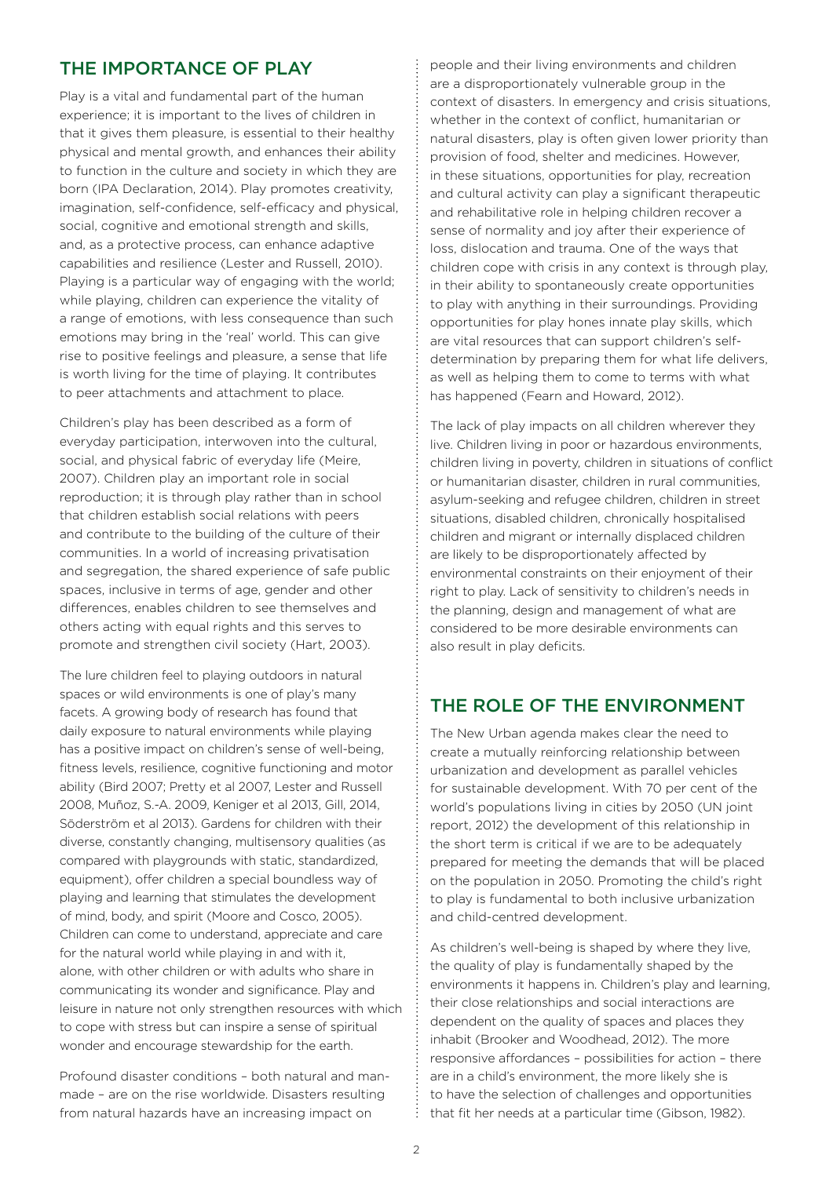### THE IMPORTANCE OF PLAY

Play is a vital and fundamental part of the human experience; it is important to the lives of children in that it gives them pleasure, is essential to their healthy physical and mental growth, and enhances their ability to function in the culture and society in which they are born (IPA Declaration, 2014). Play promotes creativity, imagination, self-confidence, self-efficacy and physical, social, cognitive and emotional strength and skills, and, as a protective process, can enhance adaptive capabilities and resilience (Lester and Russell, 2010). Playing is a particular way of engaging with the world; while playing, children can experience the vitality of a range of emotions, with less consequence than such emotions may bring in the 'real' world. This can give rise to positive feelings and pleasure, a sense that life is worth living for the time of playing. It contributes to peer attachments and attachment to place.

Children's play has been described as a form of everyday participation, interwoven into the cultural, social, and physical fabric of everyday life (Meire, 2007). Children play an important role in social reproduction; it is through play rather than in school that children establish social relations with peers and contribute to the building of the culture of their communities. In a world of increasing privatisation and segregation, the shared experience of safe public spaces, inclusive in terms of age, gender and other differences, enables children to see themselves and others acting with equal rights and this serves to promote and strengthen civil society (Hart, 2003).

The lure children feel to playing outdoors in natural spaces or wild environments is one of play's many facets. A growing body of research has found that daily exposure to natural environments while playing has a positive impact on children's sense of well-being, fitness levels, resilience, cognitive functioning and motor ability (Bird 2007; Pretty et al 2007, Lester and Russell 2008, Muñoz, S.-A. 2009, Keniger et al 2013, Gill, 2014, Söderström et al 2013). Gardens for children with their diverse, constantly changing, multisensory qualities (as compared with playgrounds with static, standardized, equipment), offer children a special boundless way of playing and learning that stimulates the development of mind, body, and spirit (Moore and Cosco, 2005). Children can come to understand, appreciate and care for the natural world while playing in and with it, alone, with other children or with adults who share in communicating its wonder and significance. Play and leisure in nature not only strengthen resources with which to cope with stress but can inspire a sense of spiritual wonder and encourage stewardship for the earth.

Profound disaster conditions – both natural and manmade – are on the rise worldwide. Disasters resulting from natural hazards have an increasing impact on

people and their living environments and children are a disproportionately vulnerable group in the context of disasters. In emergency and crisis situations, whether in the context of conflict, humanitarian or natural disasters, play is often given lower priority than provision of food, shelter and medicines. However, in these situations, opportunities for play, recreation and cultural activity can play a significant therapeutic and rehabilitative role in helping children recover a sense of normality and joy after their experience of loss, dislocation and trauma. One of the ways that children cope with crisis in any context is through play, in their ability to spontaneously create opportunities to play with anything in their surroundings. Providing opportunities for play hones innate play skills, which are vital resources that can support children's selfdetermination by preparing them for what life delivers, as well as helping them to come to terms with what has happened (Fearn and Howard, 2012).

The lack of play impacts on all children wherever they live. Children living in poor or hazardous environments, children living in poverty, children in situations of conflict or humanitarian disaster, children in rural communities, asylum-seeking and refugee children, children in street situations, disabled children, chronically hospitalised children and migrant or internally displaced children are likely to be disproportionately affected by environmental constraints on their enjoyment of their right to play. Lack of sensitivity to children's needs in the planning, design and management of what are considered to be more desirable environments can also result in play deficits.

### THE ROLE OF THE ENVIRONMENT

The New Urban agenda makes clear the need to create a mutually reinforcing relationship between urbanization and development as parallel vehicles for sustainable development. With 70 per cent of the world's populations living in cities by 2050 (UN joint report, 2012) the development of this relationship in the short term is critical if we are to be adequately prepared for meeting the demands that will be placed on the population in 2050. Promoting the child's right to play is fundamental to both inclusive urbanization and child-centred development.

As children's well-being is shaped by where they live, the quality of play is fundamentally shaped by the environments it happens in. Children's play and learning, their close relationships and social interactions are dependent on the quality of spaces and places they inhabit (Brooker and Woodhead, 2012). The more responsive affordances – possibilities for action – there are in a child's environment, the more likely she is to have the selection of challenges and opportunities that fit her needs at a particular time (Gibson, 1982).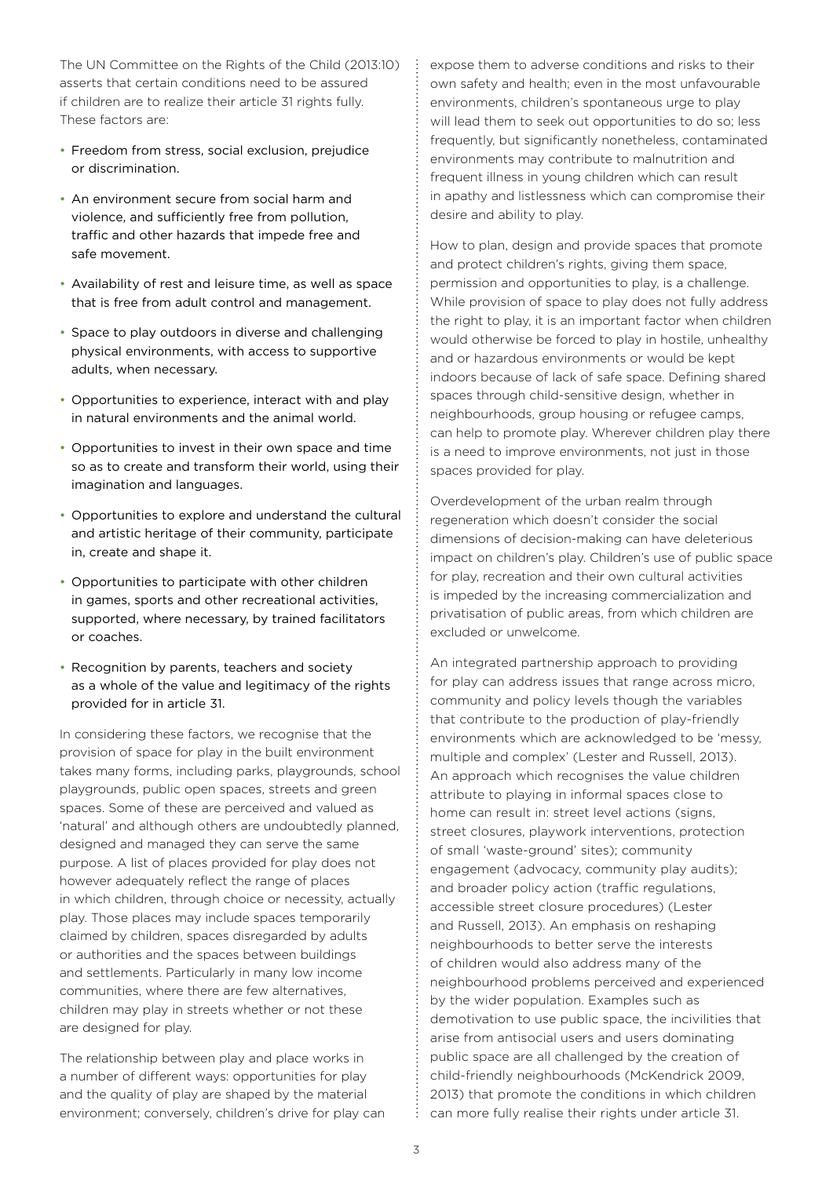The UN Committee on the Rights of the Child (2013:10) asserts that certain conditions need to be assured if children are to realize their article 31 rights fully. These factors are:

- Freedom from stress, social exclusion, prejudice or discrimination.
- An environment secure from social harm and violence, and sufficiently free from pollution, traffic and other hazards that impede free and safe movement.
- • Availability of rest and leisure time, as well as space that is free from adult control and management.
- Space to play outdoors in diverse and challenging physical environments, with access to supportive adults, when necessary.
- Opportunities to experience, interact with and play in natural environments and the animal world.
- Opportunities to invest in their own space and time so as to create and transform their world, using their imagination and languages.
- • Opportunities to explore and understand the cultural and artistic heritage of their community, participate in, create and shape it.
- Opportunities to participate with other children in games, sports and other recreational activities, supported, where necessary, by trained facilitators or coaches.
- Recognition by parents, teachers and society as a whole of the value and legitimacy of the rights provided for in article 31.

In considering these factors, we recognise that the provision of space for play in the built environment takes many forms, including parks, playgrounds, school playgrounds, public open spaces, streets and green spaces. Some of these are perceived and valued as 'natural' and although others are undoubtedly planned, designed and managed they can serve the same purpose. A list of places provided for play does not however adequately reflect the range of places in which children, through choice or necessity, actually play. Those places may include spaces temporarily claimed by children, spaces disregarded by adults or authorities and the spaces between buildings and settlements. Particularly in many low income communities, where there are few alternatives, children may play in streets whether or not these are designed for play.

The relationship between play and place works in a number of different ways: opportunities for play and the quality of play are shaped by the material environment; conversely, children's drive for play can expose them to adverse conditions and risks to their own safety and health; even in the most unfavourable environments, children's spontaneous urge to play will lead them to seek out opportunities to do so; less frequently, but significantly nonetheless, contaminated environments may contribute to malnutrition and frequent illness in young children which can result in apathy and listlessness which can compromise their desire and ability to play.

How to plan, design and provide spaces that promote and protect children's rights, giving them space, permission and opportunities to play, is a challenge. While provision of space to play does not fully address the right to play, it is an important factor when children would otherwise be forced to play in hostile, unhealthy and or hazardous environments or would be kept indoors because of lack of safe space. Defining shared spaces through child-sensitive design, whether in neighbourhoods, group housing or refugee camps, can help to promote play. Wherever children play there is a need to improve environments, not just in those spaces provided for play.

Overdevelopment of the urban realm through regeneration which doesn't consider the social dimensions of decision-making can have deleterious impact on children's play. Children's use of public space for play, recreation and their own cultural activities is impeded by the increasing commercialization and privatisation of public areas, from which children are excluded or unwelcome.

An integrated partnership approach to providing for play can address issues that range across micro, community and policy levels though the variables that contribute to the production of play-friendly environments which are acknowledged to be 'messy, multiple and complex' (Lester and Russell, 2013). An approach which recognises the value children attribute to playing in informal spaces close to home can result in: street level actions (signs, street closures, playwork interventions, protection of small 'waste-ground' sites); community engagement (advocacy, community play audits); and broader policy action (traffic regulations, accessible street closure procedures) (Lester and Russell, 2013). An emphasis on reshaping neighbourhoods to better serve the interests of children would also address many of the neighbourhood problems perceived and experienced by the wider population. Examples such as demotivation to use public space, the incivilities that arise from antisocial users and users dominating public space are all challenged by the creation of child-friendly neighbourhoods (McKendrick 2009, 2013) that promote the conditions in which children can more fully realise their rights under article 31.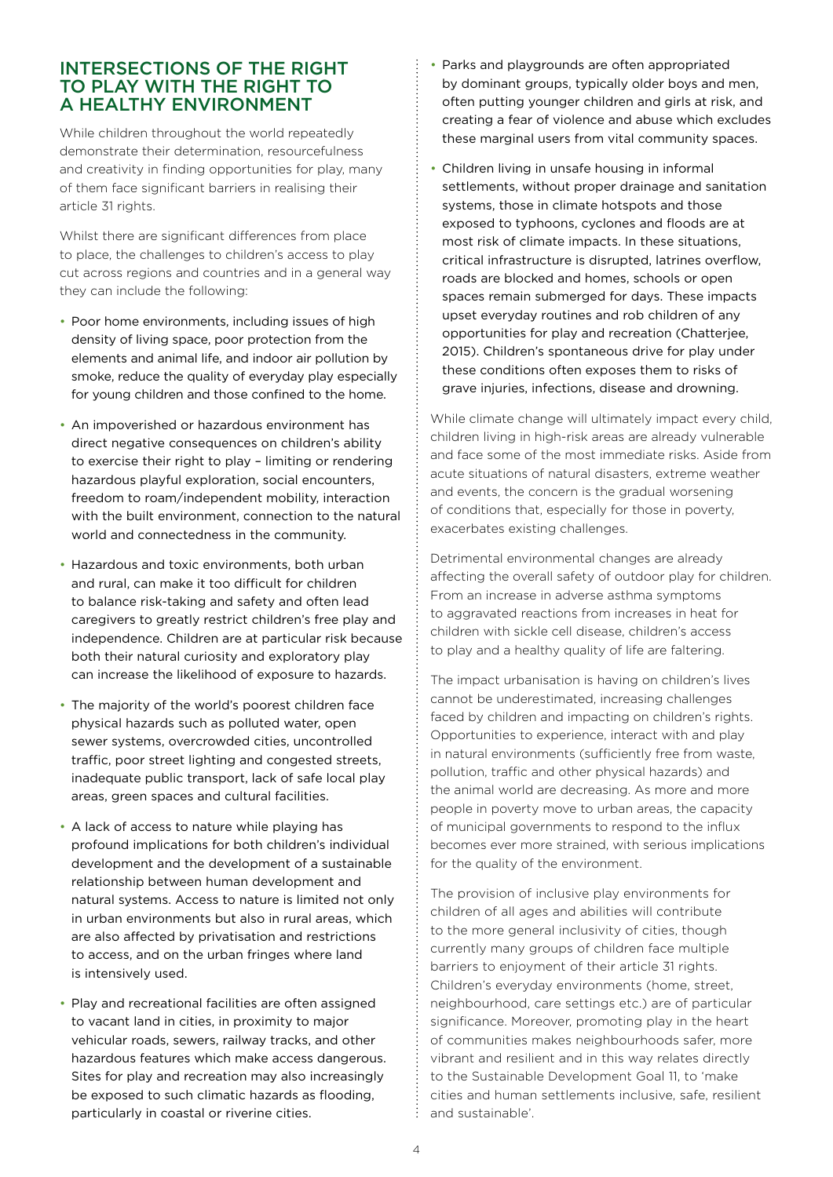#### INTERSECTIONS OF THE RIGHT TO PLAY WITH THE RIGHT TO A HEALTHY ENVIRONMENT

While children throughout the world repeatedly demonstrate their determination, resourcefulness and creativity in finding opportunities for play, many of them face significant barriers in realising their article 31 rights.

Whilst there are significant differences from place to place, the challenges to children's access to play cut across regions and countries and in a general way they can include the following:

- Poor home environments, including issues of high density of living space, poor protection from the elements and animal life, and indoor air pollution by smoke, reduce the quality of everyday play especially for young children and those confined to the home.
- An impoverished or hazardous environment has direct negative consequences on children's ability to exercise their right to play – limiting or rendering hazardous playful exploration, social encounters, freedom to roam/independent mobility, interaction with the built environment, connection to the natural world and connectedness in the community.
- Hazardous and toxic environments, both urban and rural, can make it too difficult for children to balance risk-taking and safety and often lead caregivers to greatly restrict children's free play and independence. Children are at particular risk because both their natural curiosity and exploratory play can increase the likelihood of exposure to hazards.
- The majority of the world's poorest children face physical hazards such as polluted water, open sewer systems, overcrowded cities, uncontrolled traffic, poor street lighting and congested streets, inadequate public transport, lack of safe local play areas, green spaces and cultural facilities.
- A lack of access to nature while playing has profound implications for both children's individual development and the development of a sustainable relationship between human development and natural systems. Access to nature is limited not only in urban environments but also in rural areas, which are also affected by privatisation and restrictions to access, and on the urban fringes where land is intensively used.
- Play and recreational facilities are often assigned to vacant land in cities, in proximity to major vehicular roads, sewers, railway tracks, and other hazardous features which make access dangerous. Sites for play and recreation may also increasingly be exposed to such climatic hazards as flooding, particularly in coastal or riverine cities.
- Parks and playgrounds are often appropriated by dominant groups, typically older boys and men, often putting younger children and girls at risk, and creating a fear of violence and abuse which excludes these marginal users from vital community spaces.
- Children living in unsafe housing in informal settlements, without proper drainage and sanitation systems, those in climate hotspots and those exposed to typhoons, cyclones and floods are at most risk of climate impacts. In these situations, critical infrastructure is disrupted, latrines overflow, roads are blocked and homes, schools or open spaces remain submerged for days. These impacts upset everyday routines and rob children of any opportunities for play and recreation (Chatterjee, 2015). Children's spontaneous drive for play under these conditions often exposes them to risks of grave injuries, infections, disease and drowning.

While climate change will ultimately impact every child, children living in high-risk areas are already vulnerable and face some of the most immediate risks. Aside from acute situations of natural disasters, extreme weather and events, the concern is the gradual worsening of conditions that, especially for those in poverty, exacerbates existing challenges.

Detrimental environmental changes are already affecting the overall safety of outdoor play for children. From an increase in adverse asthma symptoms to aggravated reactions from increases in heat for children with sickle cell disease, children's access to play and a healthy quality of life are faltering.

The impact urbanisation is having on children's lives cannot be underestimated, increasing challenges faced by children and impacting on children's rights. Opportunities to experience, interact with and play in natural environments (sufficiently free from waste, pollution, traffic and other physical hazards) and the animal world are decreasing. As more and more people in poverty move to urban areas, the capacity of municipal governments to respond to the influx becomes ever more strained, with serious implications for the quality of the environment.

The provision of inclusive play environments for children of all ages and abilities will contribute to the more general inclusivity of cities, though currently many groups of children face multiple barriers to enjoyment of their article 31 rights. Children's everyday environments (home, street, neighbourhood, care settings etc.) are of particular significance. Moreover, promoting play in the heart of communities makes neighbourhoods safer, more vibrant and resilient and in this way relates directly to the Sustainable Development Goal 11, to 'make cities and human settlements inclusive, safe, resilient and sustainable'.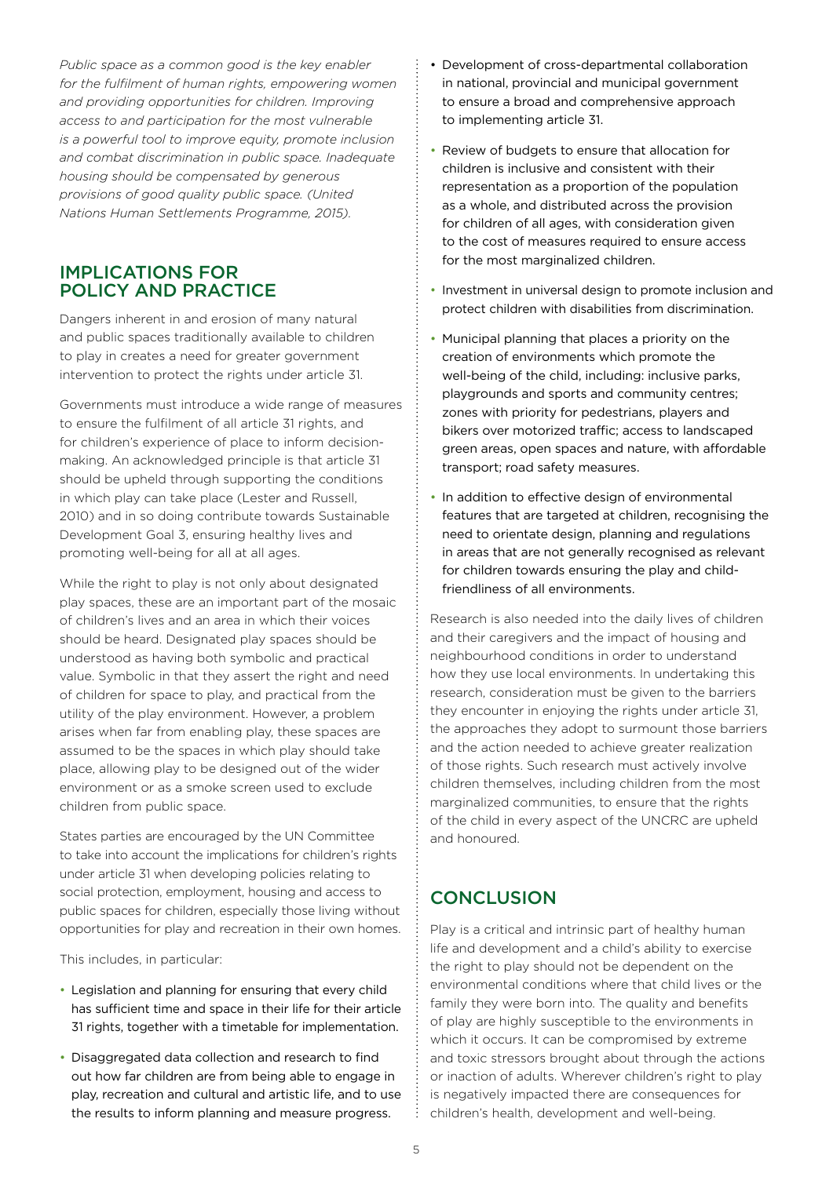*Public space as a common good is the key enabler for the fulfilment of human rights, empowering women and providing opportunities for children. Improving access to and participation for the most vulnerable is a powerful tool to improve equity, promote inclusion and combat discrimination in public space. Inadequate housing should be compensated by generous provisions of good quality public space. (United Nations Human Settlements Programme, 2015).*

#### IMPLICATIONS FOR POLICY AND PRACTICE

Dangers inherent in and erosion of many natural and public spaces traditionally available to children to play in creates a need for greater government intervention to protect the rights under article 31.

Governments must introduce a wide range of measures to ensure the fulfilment of all article 31 rights, and for children's experience of place to inform decisionmaking. An acknowledged principle is that article 31 should be upheld through supporting the conditions in which play can take place (Lester and Russell, 2010) and in so doing contribute towards Sustainable Development Goal 3, ensuring healthy lives and promoting well-being for all at all ages.

While the right to play is not only about designated play spaces, these are an important part of the mosaic of children's lives and an area in which their voices should be heard. Designated play spaces should be understood as having both symbolic and practical value. Symbolic in that they assert the right and need of children for space to play, and practical from the utility of the play environment. However, a problem arises when far from enabling play, these spaces are assumed to be the spaces in which play should take place, allowing play to be designed out of the wider environment or as a smoke screen used to exclude children from public space.

States parties are encouraged by the UN Committee to take into account the implications for children's rights under article 31 when developing policies relating to social protection, employment, housing and access to public spaces for children, especially those living without opportunities for play and recreation in their own homes.

This includes, in particular:

- • Legislation and planning for ensuring that every child has sufficient time and space in their life for their article 31 rights, together with a timetable for implementation.
- Disaggregated data collection and research to find out how far children are from being able to engage in play, recreation and cultural and artistic life, and to use the results to inform planning and measure progress.
- Development of cross-departmental collaboration in national, provincial and municipal government to ensure a broad and comprehensive approach to implementing article 31.
- Review of budgets to ensure that allocation for children is inclusive and consistent with their representation as a proportion of the population as a whole, and distributed across the provision for children of all ages, with consideration given to the cost of measures required to ensure access for the most marginalized children.
- Investment in universal design to promote inclusion and protect children with disabilities from discrimination.
- Municipal planning that places a priority on the creation of environments which promote the well-being of the child, including: inclusive parks, playgrounds and sports and community centres; zones with priority for pedestrians, players and bikers over motorized traffic; access to landscaped green areas, open spaces and nature, with affordable transport; road safety measures.
- In addition to effective design of environmental features that are targeted at children, recognising the need to orientate design, planning and regulations in areas that are not generally recognised as relevant for children towards ensuring the play and childfriendliness of all environments.

Research is also needed into the daily lives of children and their caregivers and the impact of housing and neighbourhood conditions in order to understand how they use local environments. In undertaking this research, consideration must be given to the barriers they encounter in enjoying the rights under article 31, the approaches they adopt to surmount those barriers and the action needed to achieve greater realization of those rights. Such research must actively involve children themselves, including children from the most marginalized communities, to ensure that the rights of the child in every aspect of the UNCRC are upheld and honoured.

# **CONCLUSION**

Play is a critical and intrinsic part of healthy human life and development and a child's ability to exercise the right to play should not be dependent on the environmental conditions where that child lives or the family they were born into. The quality and benefits of play are highly susceptible to the environments in which it occurs. It can be compromised by extreme and toxic stressors brought about through the actions or inaction of adults. Wherever children's right to play is negatively impacted there are consequences for children's health, development and well-being.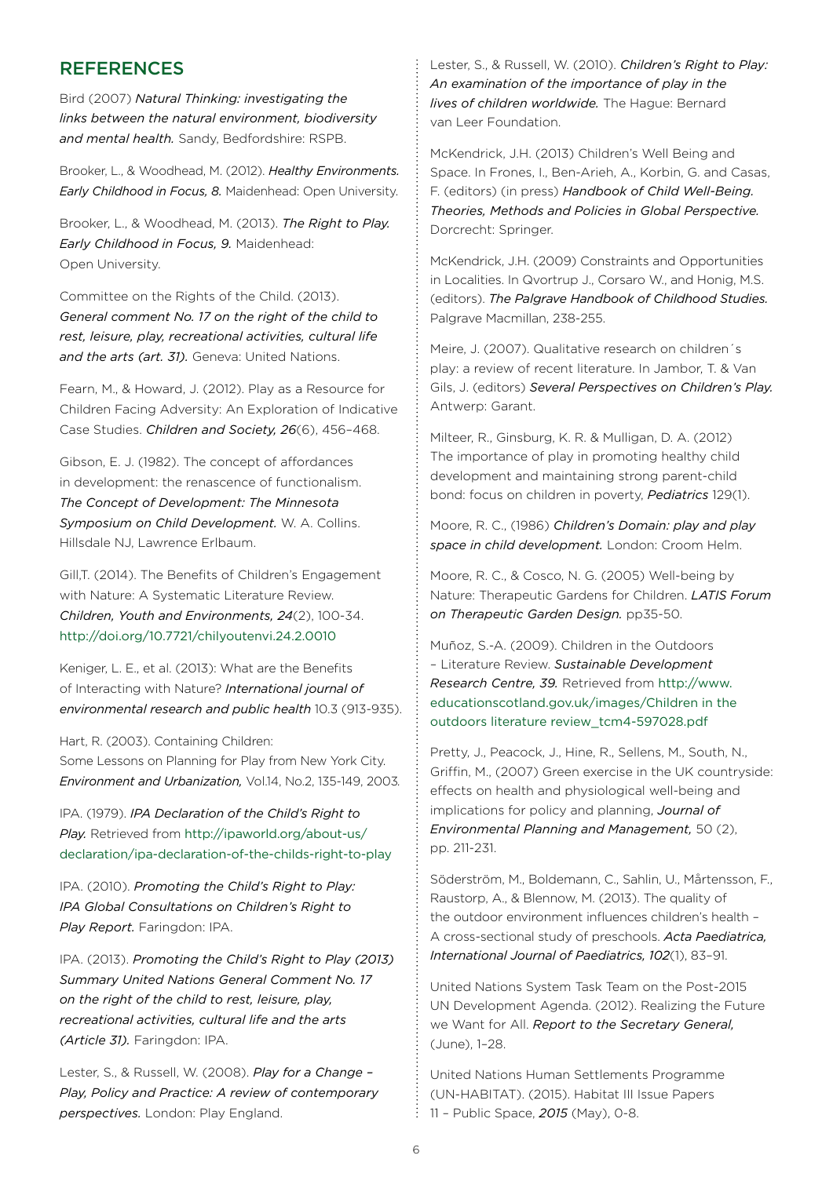#### **REFERENCES**

Bird (2007) *Natural Thinking: investigating the links between the natural environment, biodiversity and mental health.* Sandy, Bedfordshire: RSPB.

Brooker, L., & Woodhead, M. (2012). *Healthy Environments. Early Childhood in Focus, 8.* Maidenhead: Open University.

Brooker, L., & Woodhead, M. (2013). *The Right to Play. Early Childhood in Focus, 9.* Maidenhead: Open University.

Committee on the Rights of the Child. (2013). *General comment No. 17 on the right of the child to rest, leisure, play, recreational activities, cultural life and the arts (art. 31).* Geneva: United Nations.

Fearn, M., & Howard, J. (2012). Play as a Resource for Children Facing Adversity: An Exploration of Indicative Case Studies. *Children and Society, 26*(6), 456–468.

Gibson, E. J. (1982). The concept of affordances in development: the renascence of functionalism. *The Concept of Development: The Minnesota Symposium on Child Development.* W. A. Collins. Hillsdale NJ, Lawrence Erlbaum.

Gill,T. (2014). The Benefits of Children's Engagement with Nature: A Systematic Literature Review. *Children, Youth and Environments, 24*(2), 100-34. http://doi.org/10.7721/chilyoutenvi.24.2.0010

Keniger, L. E., et al. (2013): What are the Benefits of Interacting with Nature? *International journal of environmental research and public health* 10.3 (913-935).

Hart, R. (2003). Containing Children:

Some Lessons on Planning for Play from New York City. *Environment and Urbanization,* Vol.14, No.2, 135-149, 2003*.*

IPA. (1979). *IPA Declaration of the Child's Right to Play.* Retrieved from http://ipaworld.org/about-us/ declaration/ipa-declaration-of-the-childs-right-to-play

IPA. (2010). *Promoting the Child's Right to Play: IPA Global Consultations on Children's Right to Play Report.* Faringdon: IPA.

IPA. (2013). *Promoting the Child's Right to Play (2013) Summary United Nations General Comment No. 17 on the right of the child to rest, leisure, play, recreational activities, cultural life and the arts (Article 31).* Faringdon: IPA.

Lester, S., & Russell, W. (2008). *Play for a Change – Play, Policy and Practice: A review of contemporary perspectives.* London: Play England.

Lester, S., & Russell, W. (2010). *Children's Right to Play: An examination of the importance of play in the lives of children worldwide.* The Hague: Bernard van Leer Foundation.

McKendrick, J.H. (2013) Children's Well Being and Space. In Frones, I., Ben-Arieh, A., Korbin, G. and Casas, F. (editors) (in press) *Handbook of Child Well-Being. Theories, Methods and Policies in Global Perspective.* Dorcrecht: Springer.

McKendrick, J.H. (2009) Constraints and Opportunities in Localities. In Qvortrup J., Corsaro W., and Honig, M.S. (editors). *The Palgrave Handbook of Childhood Studies.*  Palgrave Macmillan, 238-255.

Meire, J. (2007). Qualitative research on children´s play: a review of recent literature. In Jambor, T. & Van Gils, J. (editors) *Several Perspectives on Children's Play.* Antwerp: Garant.

Milteer, R., Ginsburg, K. R. & Mulligan, D. A. (2012) The importance of play in promoting healthy child development and maintaining strong parent-child bond: focus on children in poverty, *Pediatrics* 129(1).

Moore, R. C., (1986) *Children's Domain: play and play space in child development.* London: Croom Helm.

Moore, R. C., & Cosco, N. G. (2005) Well-being by Nature: Therapeutic Gardens for Children. *LATIS Forum on Therapeutic Garden Design.* pp35-50.

Muñoz, S.-A. (2009). Children in the Outdoors – Literature Review. *Sustainable Development Research Centre, 39.* Retrieved from http://www. educationscotland.gov.uk/images/Children in the outdoors literature review\_tcm4-597028.pdf

Pretty, J., Peacock, J., Hine, R., Sellens, M., South, N., Griffin, M., (2007) Green exercise in the UK countryside: effects on health and physiological well-being and implications for policy and planning, *Journal of Environmental Planning and Management,* 50 (2), pp. 211-231.

Söderström, M., Boldemann, C., Sahlin, U., Mårtensson, F., Raustorp, A., & Blennow, M. (2013). The quality of the outdoor environment influences children's health – A cross-sectional study of preschools. *Acta Paediatrica, International Journal of Paediatrics, 102*(1), 83–91.

United Nations System Task Team on the Post-2015 UN Development Agenda. (2012). Realizing the Future we Want for All. *Report to the Secretary General,*  (June), 1–28.

United Nations Human Settlements Programme (UN-HABITAT). (2015). Habitat III Issue Papers 11 – Public Space, *2015* (May), 0-8.